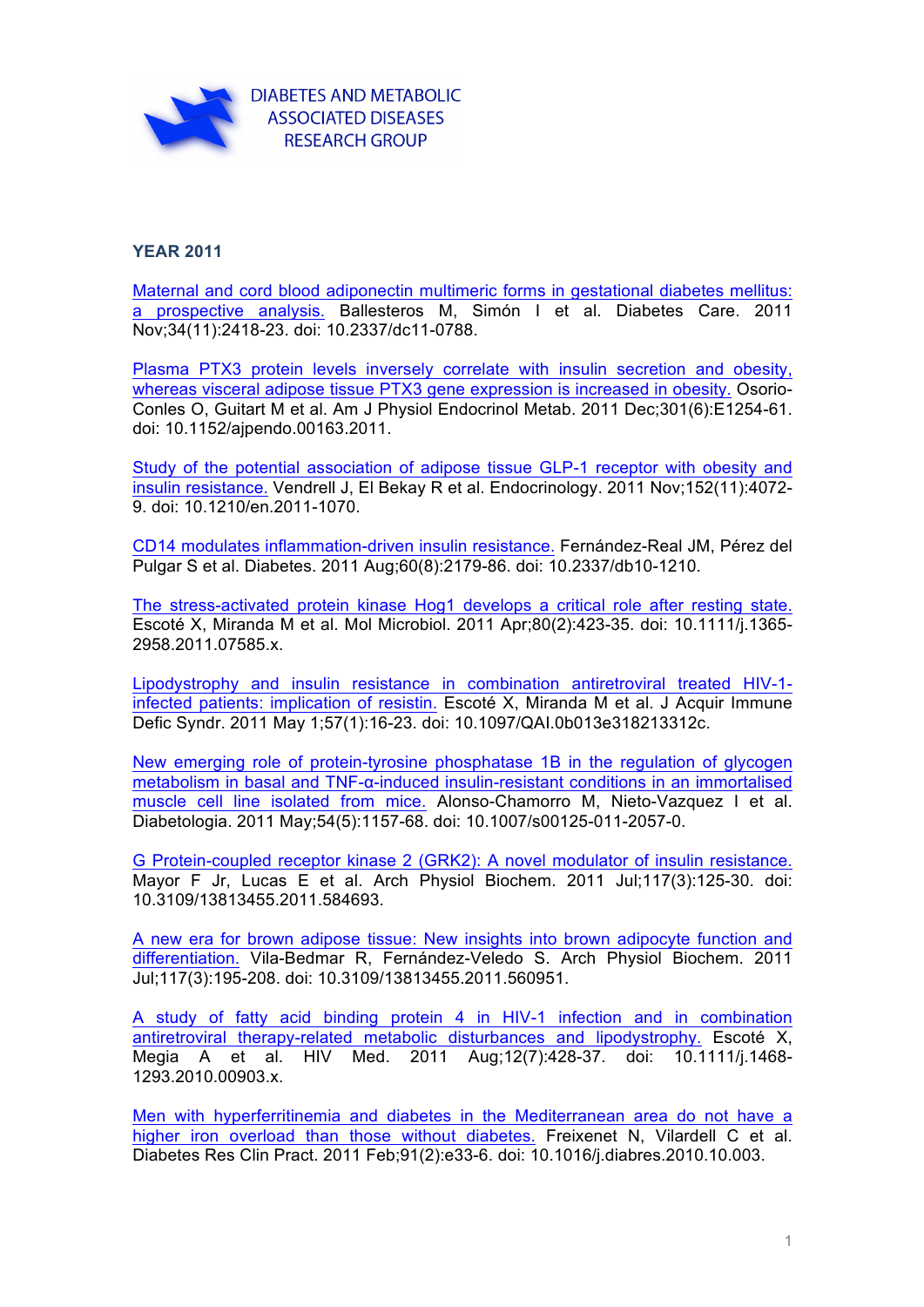

## **YEAR 2011**

Maternal [and cord blood adiponectin multimeric forms in gestational diabetes mellitus:](http://www.ncbi.nlm.nih.gov/pubmed/21911780)  a prospective analysis. Ballesteros M, Simón I et al. Diabetes Care. 2011 Nov;34(11):2418-23. doi: 10.2337/dc11-0788.

[Plasma PTX3 protein levels inversely correlate with insulin secretion and obesity,](http://www.ncbi.nlm.nih.gov/pubmed/21900125)  whereas visceral adipose tissue PTX3 gene expression is increased in obesity. Osorio-Conles O, Guitart M et al. Am J Physiol Endocrinol Metab. 2011 Dec;301(6):E1254-61. doi: 10.1152/ajpendo.00163.2011.

[Study of the potential association of adipose tissue GLP-1 receptor with obesity and](http://www.ncbi.nlm.nih.gov/pubmed/21862620)  insulin resistance. Vendrell J, El Bekay R et al. Endocrinology. 2011 Nov;152(11):4072- 9. doi: 10.1210/en.2011-1070.

[CD14 modulates inflammation-driven insulin resistance.](http://www.ncbi.nlm.nih.gov/pubmed/21700881) Fernández-Real JM, Pérez del Pulgar S et al. Diabetes. 2011 Aug;60(8):2179-86. doi: 10.2337/db10-1210.

[The stress-activated protein kinase Hog1 develops a critical role after resting state.](http://www.ncbi.nlm.nih.gov/pubmed/21371138) Escoté X, Miranda M et al. Mol Microbiol. 2011 Apr;80(2):423-35. doi: 10.1111/j.1365- 2958.2011.07585.x.

[Lipodystrophy and insulin resistance in combination antiretroviral treated HIV-1](http://www.ncbi.nlm.nih.gov/pubmed/21317795) infected patients: implication of resistin. Escoté X, Miranda M et al. J Acquir Immune Defic Syndr. 2011 May 1;57(1):16-23. doi: 10.1097/QAI.0b013e318213312c.

[New emerging role of protein-tyrosine phosphatase 1B in the regulation of glycogen](http://www.ncbi.nlm.nih.gov/pubmed/21311858)  metabolism in basal and TNF-α-induced insulin-resistant conditions in an immortalised muscle cell line isolated from mice. Alonso-Chamorro M, Nieto-Vazquez I et al. Diabetologia. 2011 May;54(5):1157-68. doi: 10.1007/s00125-011-2057-0.

[G Protein-coupled receptor kinase 2 \(GRK2\): A novel modulator of insulin resistance.](http://www.ncbi.nlm.nih.gov/pubmed/21615207) Mayor F Jr, Lucas E et al. Arch Physiol Biochem. 2011 Jul;117(3):125-30. doi: 10.3109/13813455.2011.584693.

[A new era for brown adipose tissue: New insights into brown adipocyte function and](http://www.ncbi.nlm.nih.gov/pubmed/21428723)  differentiation. Vila-Bedmar R, Fernández-Veledo S. Arch Physiol Biochem. 2011 Jul;117(3):195-208. doi: 10.3109/13813455.2011.560951.

[A study of fatty acid binding protein 4 in HIV-1 infection and in combination](http://www.ncbi.nlm.nih.gov/pubmed/21251185)  antiretroviral therapy-related metabolic disturbances and lipodystrophy. Escoté X, Megia A et al. HIV Med. 2011 Aug;12(7):428-37. doi: 10.1111/j.1468- 1293.2010.00903.x.

[Men with hyperferritinemia and diabetes in the Mediterranean area do not have a](http://www.ncbi.nlm.nih.gov/pubmed/21055836)  higher iron overload than those without diabetes. Freixenet N, Vilardell C et al. Diabetes Res Clin Pract. 2011 Feb;91(2):e33-6. doi: 10.1016/j.diabres.2010.10.003.